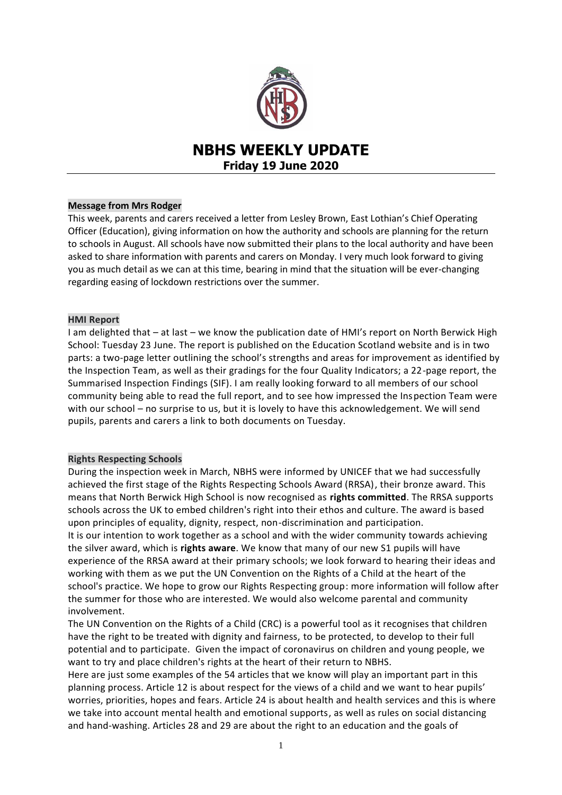

# **NBHS WEEKLY UPDATE Friday 19 June 2020**

## **Message from Mrs Rodger**

This week, parents and carers received a letter from Lesley Brown, East Lothian's Chief Operating Officer (Education), giving information on how the authority and schools are planning for the return to schools in August. All schools have now submitted their plans to the local authority and have been asked to share information with parents and carers on Monday. I very much look forward to giving you as much detail as we can at this time, bearing in mind that the situation will be ever-changing regarding easing of lockdown restrictions over the summer.

### **HMI Report**

I am delighted that – at last – we know the publication date of HMI's report on North Berwick High School: Tuesday 23 June. The report is published on the Education Scotland website and is in two parts: a two-page letter outlining the school's strengths and areas for improvement as identified by the Inspection Team, as well as their gradings for the four Quality Indicators; a 22-page report, the Summarised Inspection Findings (SIF). I am really looking forward to all members of our school community being able to read the full report, and to see how impressed the Inspection Team were with our school – no surprise to us, but it is lovely to have this acknowledgement. We will send pupils, parents and carers a link to both documents on Tuesday.

## **Rights Respecting Schools**

During the inspection week in March, NBHS were informed by UNICEF that we had successfully achieved the first stage of the Rights Respecting Schools Award (RRSA), their bronze award. This means that North Berwick High School is now recognised as **rights committed**. The RRSA supports schools across the UK to embed children's right into their ethos and culture. The award is based upon principles of equality, dignity, respect, non-discrimination and participation.

It is our intention to work together as a school and with the wider community towards achieving the silver award, which is **rights aware**. We know that many of our new S1 pupils will have experience of the RRSA award at their primary schools; we look forward to hearing their ideas and working with them as we put the UN Convention on the Rights of a Child at the heart of the school's practice. We hope to grow our Rights Respecting group: more information will follow after the summer for those who are interested. We would also welcome parental and community involvement.

The UN Convention on the Rights of a Child (CRC) is a powerful tool as it recognises that children have the right to be treated with dignity and fairness, to be protected, to develop to their full potential and to participate. Given the impact of coronavirus on children and young people, we want to try and place children's rights at the heart of their return to NBHS.

Here are just some examples of the 54 articles that we know will play an important part in this planning process. Article 12 is about respect for the views of a child and we want to hear pupils' worries, priorities, hopes and fears. Article 24 is about health and health services and this is where we take into account mental health and emotional supports, as well as rules on social distancing and hand-washing. Articles 28 and 29 are about the right to an education and the goals of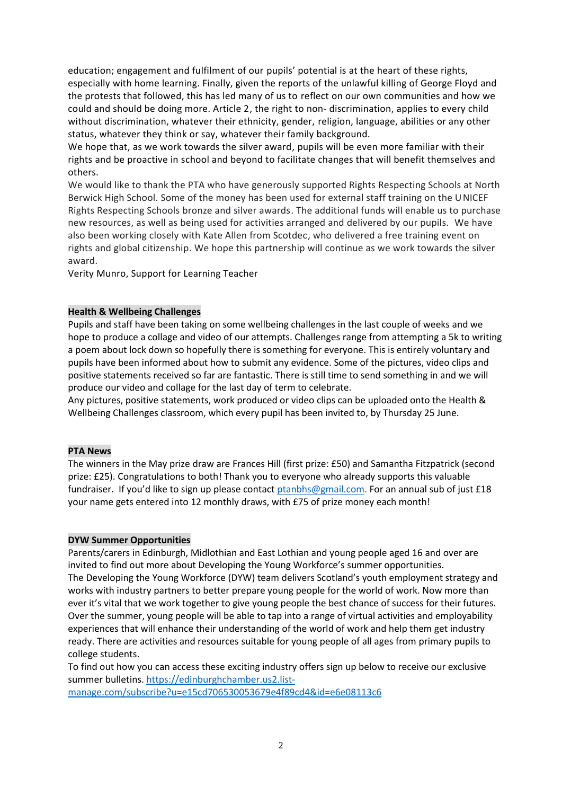education; engagement and fulfilment of our pupils' potential is at the heart of these rights, especially with home learning. Finally, given the reports of the unlawful killing of George Floyd and the protests that followed, this has led many of us to reflect on our own communities and how we could and should be doing more. Article 2, the right to non- discrimination, applies to every child without discrimination, whatever their ethnicity, gender, religion, language, abilities or any other status, whatever they think or say, whatever their family background.

We hope that, as we work towards the silver award, pupils will be even more familiar with their rights and be proactive in school and beyond to facilitate changes that will benefit themselves and others.

We would like to thank the PTA who have generously supported Rights Respecting Schools at North Berwick High School. Some of the money has been used for external staff training on the UNICEF Rights Respecting Schools bronze and silver awards. The additional funds will enable us to purchase new resources, as well as being used for activities arranged and delivered by our pupils. We have also been working closely with Kate Allen from Scotdec, who delivered a free training event on rights and global citizenship. We hope this partnership will continue as we work towards the silver award.

Verity Munro, Support for Learning Teacher

## **Health & Wellbeing Challenges**

Pupils and staff have been taking on some wellbeing challenges in the last couple of weeks and we hope to produce a collage and video of our attempts. Challenges range from attempting a 5k to writing a poem about lock down so hopefully there is something for everyone. This is entirely voluntary and pupils have been informed about how to submit any evidence. Some of the pictures, video clips and positive statements received so far are fantastic. There is still time to send something in and we will produce our video and collage for the last day of term to celebrate.

Any pictures, positive statements, work produced or video clips can be uploaded onto the Health & Wellbeing Challenges classroom, which every pupil has been invited to, by Thursday 25 June.

### **PTA News**

The winners in the May prize draw are Frances Hill (first prize: £50) and Samantha Fitzpatrick (second prize: £25). Congratulations to both! Thank you to everyone who already supports this valuable fundraiser. If you'd like to sign up please contact [ptanbhs@gmail.com.](mailto:ptanbhs@gmail.com) For an annual sub of just £18 your name gets entered into 12 monthly draws, with £75 of prize money each month!

### **DYW Summer Opportunities**

Parents/carers in Edinburgh, Midlothian and East Lothian and young people aged 16 and over are invited to find out more about Developing the Young Workforce's summer opportunities. The Developing the Young Workforce (DYW) team delivers Scotland's youth employment strategy and works with industry partners to better prepare young people for the world of work. Now more than ever it's vital that we work together to give young people the best chance of success for their futures. Over the summer, young people will be able to tap into a range of virtual activities and employability experiences that will enhance their understanding of the world of work and help them get industry ready. There are activities and resources suitable for young people of all ages from primary pupils to college students.

To find out how you can access these exciting industry offers sign up below to receive our exclusive summer bulletins. [https://edinburghchamber.us2.list-](https://edinburghchamber.us2.list-manage.com/subscribe?u=e15cd706530053679e4f89cd4&id=e6e08113c6)

[manage.com/subscribe?u=e15cd706530053679e4f89cd4&id=e6e08113c6](https://edinburghchamber.us2.list-manage.com/subscribe?u=e15cd706530053679e4f89cd4&id=e6e08113c6)